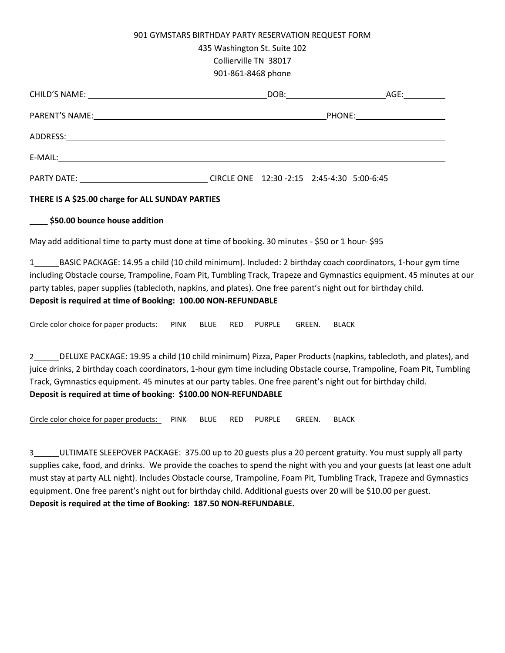## 901 GYMSTARS BIRTHDAY PARTY RESERVATION REQUEST FORM

435 Washington St. Suite 102

Collierville TN 38017

901-861-8468 phone

|                                                                                                                                                                                                                                    |  |                                            |  | AGE: with a set of the set of the set of the set of the set of the set of the set of the set of the set of the |
|------------------------------------------------------------------------------------------------------------------------------------------------------------------------------------------------------------------------------------|--|--------------------------------------------|--|----------------------------------------------------------------------------------------------------------------|
|                                                                                                                                                                                                                                    |  |                                            |  |                                                                                                                |
|                                                                                                                                                                                                                                    |  |                                            |  |                                                                                                                |
|                                                                                                                                                                                                                                    |  |                                            |  |                                                                                                                |
| <b>PARTY DATE:</b> THE PARTY OF THE STATE OF THE STATE OF THE STATE OF THE STATE OF THE STATE OF THE STATE OF THE STATE OF THE STATE OF THE STATE OF THE STATE OF THE STATE OF THE STATE OF THE STATE OF THE STATE OF THE STATE OF |  | CIRCLE ONE 12:30 -2:15 2:45-4:30 5:00-6:45 |  |                                                                                                                |

## **THERE IS A \$25.00 charge for ALL SUNDAY PARTIES**

## **\_\_\_\_ \$50.00 bounce house addition**

May add additional time to party must done at time of booking. 30 minutes - \$50 or 1 hour- \$95

1 BASIC PACKAGE: 14.95 a child (10 child minimum). Included: 2 birthday coach coordinators, 1-hour gym time including Obstacle course, Trampoline, Foam Pit, Tumbling Track, Trapeze and Gymnastics equipment. 45 minutes at our party tables, paper supplies (tablecloth, napkins, and plates). One free parent's night out for birthday child. **Deposit is required at time of Booking: 100.00 NON-REFUNDABLE**

Circle color choice for paper products: PINK BLUE RED PURPLE GREEN. BLACK

2 DELUXE PACKAGE: 19.95 a child (10 child minimum) Pizza, Paper Products (napkins, tablecloth, and plates), and juice drinks, 2 birthday coach coordinators, 1-hour gym time including Obstacle course, Trampoline, Foam Pit, Tumbling Track, Gymnastics equipment. 45 minutes at our party tables. One free parent's night out for birthday child. **Deposit is required at time of booking: \$100.00 NON-REFUNDABLE**

Circle color choice for paper products: PINK BLUE RED PURPLE GREEN. BLACK

3 ULTIMATE SLEEPOVER PACKAGE: 375.00 up to 20 guests plus a 20 percent gratuity. You must supply all party supplies cake, food, and drinks. We provide the coaches to spend the night with you and your guests (at least one adult must stay at party ALL night). Includes Obstacle course, Trampoline, Foam Pit, Tumbling Track, Trapeze and Gymnastics equipment. One free parent's night out for birthday child. Additional guests over 20 will be \$10.00 per guest. **Deposit is required at the time of Booking: 187.50 NON-REFUNDABLE.**